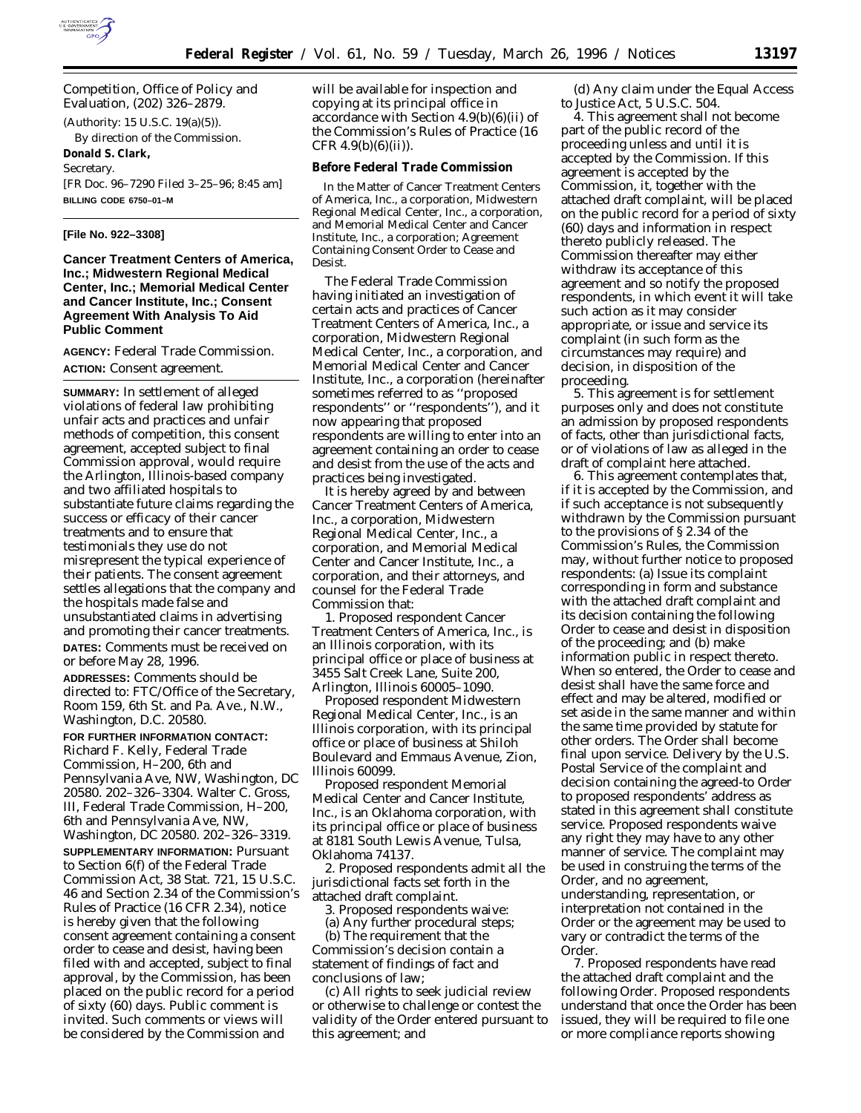

Competition, Office of Policy and Evaluation, (202) 326–2879.

(Authority: 15 U.S.C. 19(a)(5)).

By direction of the Commission. **Donald S. Clark,**

*Secretary.*

[FR Doc. 96–7290 Filed 3–25–96; 8:45 am] **BILLING CODE 6750–01–M**

# **[File No. 922–3308]**

**Cancer Treatment Centers of America, Inc.; Midwestern Regional Medical Center, Inc.; Memorial Medical Center and Cancer Institute, Inc.; Consent Agreement With Analysis To Aid Public Comment**

**AGENCY:** Federal Trade Commission. **ACTION:** Consent agreement.

**SUMMARY:** In settlement of alleged violations of federal law prohibiting unfair acts and practices and unfair methods of competition, this consent agreement, accepted subject to final Commission approval, would require the Arlington, Illinois-based company and two affiliated hospitals to substantiate future claims regarding the success or efficacy of their cancer treatments and to ensure that testimonials they use do not misrepresent the typical experience of their patients. The consent agreement settles allegations that the company and the hospitals made false and unsubstantiated claims in advertising and promoting their cancer treatments. **DATES:** Comments must be received on or before May 28, 1996.

**ADDRESSES:** Comments should be directed to: FTC/Office of the Secretary, Room 159, 6th St. and Pa. Ave., N.W., Washington, D.C. 20580.

**FOR FURTHER INFORMATION CONTACT:** Richard F. Kelly, Federal Trade Commission, H–200, 6th and Pennsylvania Ave, NW, Washington, DC 20580. 202–326–3304. Walter C. Gross, III, Federal Trade Commission, H–200, 6th and Pennsylvania Ave, NW, Washington, DC 20580. 202–326–3319.

**SUPPLEMENTARY INFORMATION:** Pursuant to Section 6(f) of the Federal Trade Commission Act, 38 Stat. 721, 15 U.S.C. 46 and Section 2.34 of the Commission's Rules of Practice (16 CFR 2.34), notice is hereby given that the following consent agreement containing a consent order to cease and desist, having been filed with and accepted, subject to final approval, by the Commission, has been placed on the public record for a period of sixty (60) days. Public comment is invited. Such comments or views will be considered by the Commission and

will be available for inspection and copying at its principal office in accordance with Section 4.9(b)(6)(ii) of the Commission's Rules of Practice (16 CFR  $4.9(b)(6)(ii)$ .

### **Before Federal Trade Commission**

In the Matter of Cancer Treatment Centers of America, Inc., a corporation, Midwestern Regional Medical Center, Inc., a corporation, and Memorial Medical Center and Cancer Institute, Inc., a corporation; Agreement Containing Consent Order to Cease and Desist.

The Federal Trade Commission having initiated an investigation of certain acts and practices of Cancer Treatment Centers of America, Inc., a corporation, Midwestern Regional Medical Center, Inc., a corporation, and Memorial Medical Center and Cancer Institute, Inc., a corporation (hereinafter sometimes referred to as ''proposed respondents'' or ''respondents''), and it now appearing that proposed respondents are willing to enter into an agreement containing an order to cease and desist from the use of the acts and practices being investigated.

It is hereby agreed by and between Cancer Treatment Centers of America, Inc., a corporation, Midwestern Regional Medical Center, Inc., a corporation, and Memorial Medical Center and Cancer Institute, Inc., a corporation, and their attorneys, and counsel for the Federal Trade Commission that:

1. Proposed respondent Cancer Treatment Centers of America, Inc., is an Illinois corporation, with its principal office or place of business at 3455 Salt Creek Lane, Suite 200, Arlington, Illinois 60005–1090.

Proposed respondent Midwestern Regional Medical Center, Inc., is an Illinois corporation, with its principal office or place of business at Shiloh Boulevard and Emmaus Avenue, Zion, Illinois 60099.

Proposed respondent Memorial Medical Center and Cancer Institute, Inc., is an Oklahoma corporation, with its principal office or place of business at 8181 South Lewis Avenue, Tulsa, Oklahoma 74137.

2. Proposed respondents admit all the jurisdictional facts set forth in the attached draft complaint.

3. Proposed respondents waive:

(a) Any further procedural steps;

(b) The requirement that the Commission's decision contain a statement of findings of fact and conclusions of law;

(c) All rights to seek judicial review or otherwise to challenge or contest the validity of the Order entered pursuant to this agreement; and

(d) Any claim under the Equal Access to Justice Act, 5 U.S.C. 504.

4. This agreement shall not become part of the public record of the proceeding unless and until it is accepted by the Commission. If this agreement is accepted by the Commission, it, together with the attached draft complaint, will be placed on the public record for a period of sixty (60) days and information in respect thereto publicly released. The Commission thereafter may either withdraw its acceptance of this agreement and so notify the proposed respondents, in which event it will take such action as it may consider appropriate, or issue and service its complaint (in such form as the circumstances may require) and decision, in disposition of the proceeding.

5. This agreement is for settlement purposes only and does not constitute an admission by proposed respondents of facts, other than jurisdictional facts, or of violations of law as alleged in the draft of complaint here attached.

6. This agreement contemplates that, if it is accepted by the Commission, and if such acceptance is not subsequently withdrawn by the Commission pursuant to the provisions of § 2.34 of the Commission's Rules, the Commission may, without further notice to proposed respondents: (a) Issue its complaint corresponding in form and substance with the attached draft complaint and its decision containing the following Order to cease and desist in disposition of the proceeding; and (b) make information public in respect thereto. When so entered, the Order to cease and desist shall have the same force and effect and may be altered, modified or set aside in the same manner and within the same time provided by statute for other orders. The Order shall become final upon service. Delivery by the U.S. Postal Service of the complaint and decision containing the agreed-to Order to proposed respondents' address as stated in this agreement shall constitute service. Proposed respondents waive any right they may have to any other manner of service. The complaint may be used in construing the terms of the Order, and no agreement, understanding, representation, or interpretation not contained in the Order or the agreement may be used to vary or contradict the terms of the Order.

7. Proposed respondents have read the attached draft complaint and the following Order. Proposed respondents understand that once the Order has been issued, they will be required to file one or more compliance reports showing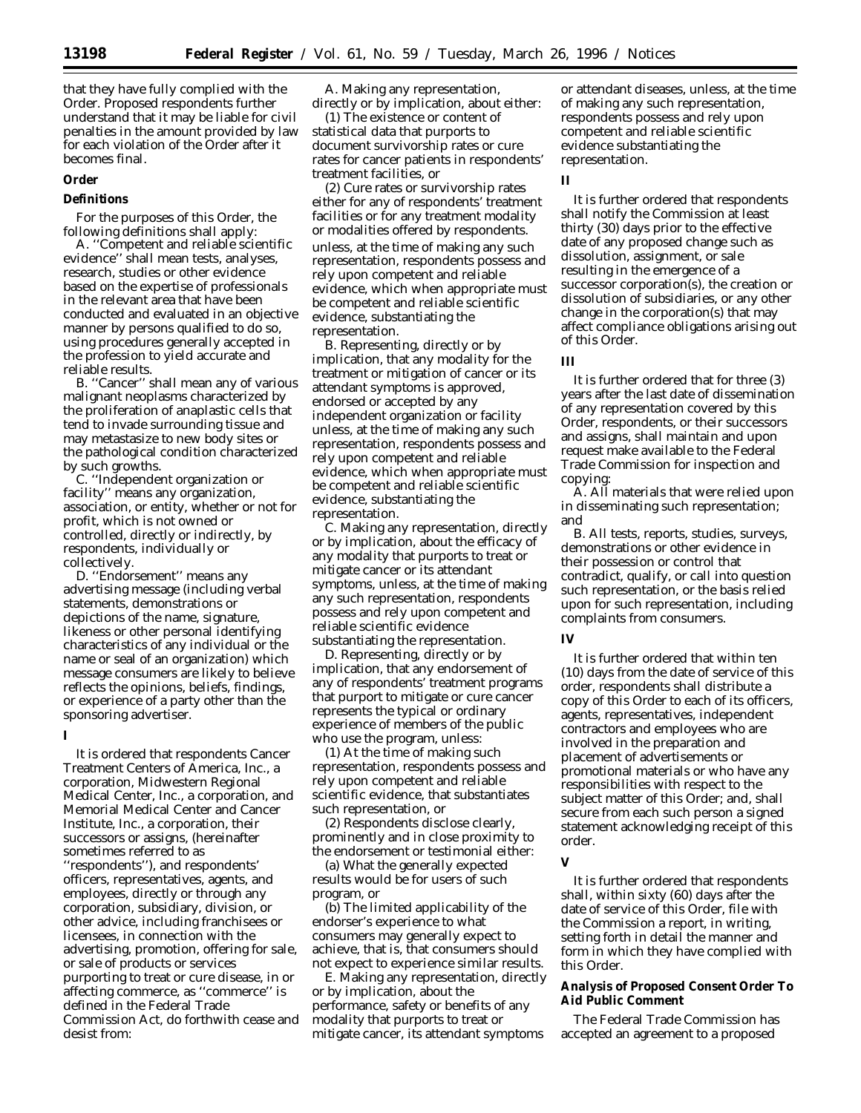that they have fully complied with the Order. Proposed respondents further understand that it may be liable for civil penalties in the amount provided by law for each violation of the Order after it becomes final.

### **Order**

# **Definitions**

For the purposes of this Order, the following definitions shall apply:

A. ''Competent and reliable scientific evidence'' shall mean tests, analyses, research, studies or other evidence based on the expertise of professionals in the relevant area that have been conducted and evaluated in an objective manner by persons qualified to do so, using procedures generally accepted in the profession to yield accurate and reliable results.

B. ''Cancer'' shall mean any of various malignant neoplasms characterized by the proliferation of anaplastic cells that tend to invade surrounding tissue and may metastasize to new body sites or the pathological condition characterized by such growths.

C. ''Independent organization or facility'' means any organization, association, or entity, whether or not for profit, which is not owned or controlled, directly or indirectly, by respondents, individually or collectively.

D. ''Endorsement'' means any advertising message (including verbal statements, demonstrations or depictions of the name, signature, likeness or other personal identifying characteristics of any individual or the name or seal of an organization) which message consumers are likely to believe reflects the opinions, beliefs, findings, or experience of a party other than the sponsoring advertiser.

#### **I**

It is ordered that respondents Cancer Treatment Centers of America, Inc., a corporation, Midwestern Regional Medical Center, Inc., a corporation, and Memorial Medical Center and Cancer Institute, Inc., a corporation, their successors or assigns, (hereinafter sometimes referred to as ''respondents''), and respondents' officers, representatives, agents, and employees, directly or through any corporation, subsidiary, division, or other advice, including franchisees or licensees, in connection with the advertising, promotion, offering for sale, or sale of products or services purporting to treat or cure disease, in or affecting commerce, as ''commerce'' is defined in the Federal Trade Commission Act, do forthwith cease and desist from:

A. Making any representation, directly or by implication, about either:

(1) The existence or content of statistical data that purports to document survivorship rates or cure rates for cancer patients in respondents' treatment facilities, or

(2) Cure rates or survivorship rates either for any of respondents' treatment facilities or for any treatment modality or modalities offered by respondents. unless, at the time of making any such representation, respondents possess and rely upon competent and reliable evidence, which when appropriate must be competent and reliable scientific evidence, substantiating the representation.

B. Representing, directly or by implication, that any modality for the treatment or mitigation of cancer or its attendant symptoms is approved, endorsed or accepted by any independent organization or facility unless, at the time of making any such representation, respondents possess and rely upon competent and reliable evidence, which when appropriate must be competent and reliable scientific evidence, substantiating the representation.

C. Making any representation, directly or by implication, about the efficacy of any modality that purports to treat or mitigate cancer or its attendant symptoms, unless, at the time of making any such representation, respondents possess and rely upon competent and reliable scientific evidence substantiating the representation.

D. Representing, directly or by implication, that any endorsement of any of respondents' treatment programs that purport to mitigate or cure cancer represents the typical or ordinary experience of members of the public who use the program, unless:

(1) At the time of making such representation, respondents possess and rely upon competent and reliable scientific evidence, that substantiates such representation, or

(2) Respondents disclose clearly, prominently and in close proximity to the endorsement or testimonial either:

(a) What the generally expected results would be for users of such program, or

(b) The limited applicability of the endorser's experience to what consumers may generally expect to achieve, that is, that consumers should not expect to experience similar results.

E. Making any representation, directly or by implication, about the performance, safety or benefits of any modality that purports to treat or mitigate cancer, its attendant symptoms

or attendant diseases, unless, at the time of making any such representation, respondents possess and rely upon competent and reliable scientific evidence substantiating the representation.

# **II**

It is further ordered that respondents shall notify the Commission at least thirty (30) days prior to the effective date of any proposed change such as dissolution, assignment, or sale resulting in the emergence of a successor corporation(s), the creation or dissolution of subsidiaries, or any other change in the corporation(s) that may affect compliance obligations arising out of this Order.

## **III**

It is further ordered that for three (3) years after the last date of dissemination of any representation covered by this Order, respondents, or their successors and assigns, shall maintain and upon request make available to the Federal Trade Commission for inspection and copying:

A. All materials that were relied upon in disseminating such representation; and

B. All tests, reports, studies, surveys, demonstrations or other evidence in their possession or control that contradict, qualify, or call into question such representation, or the basis relied upon for such representation, including complaints from consumers.

#### **IV**

It is further ordered that within ten (10) days from the date of service of this order, respondents shall distribute a copy of this Order to each of its officers, agents, representatives, independent contractors and employees who are involved in the preparation and placement of advertisements or promotional materials or who have any responsibilities with respect to the subject matter of this Order; and, shall secure from each such person a signed statement acknowledging receipt of this order.

# **V**

It is further ordered that respondents shall, within sixty (60) days after the date of service of this Order, file with the Commission a report, in writing, setting forth in detail the manner and form in which they have complied with this Order.

**Analysis of Proposed Consent Order To Aid Public Comment**

The Federal Trade Commission has accepted an agreement to a proposed